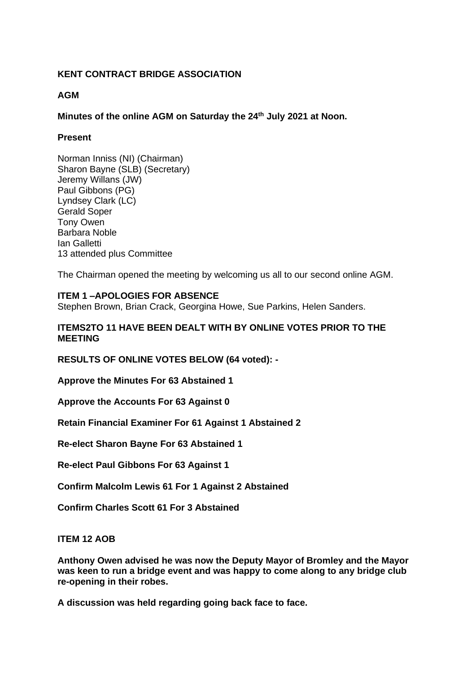# **KENT CONTRACT BRIDGE ASSOCIATION**

### **AGM**

### **Minutes of the online AGM on Saturday the 24th July 2021 at Noon.**

# **Present**

Norman Inniss (NI) (Chairman) Sharon Bayne (SLB) (Secretary) Jeremy Willans (JW) Paul Gibbons (PG) Lyndsey Clark (LC) Gerald Soper Tony Owen Barbara Noble Ian Galletti 13 attended plus Committee

The Chairman opened the meeting by welcoming us all to our second online AGM.

# **ITEM 1 –APOLOGIES FOR ABSENCE**

Stephen Brown, Brian Crack, Georgina Howe, Sue Parkins, Helen Sanders.

### **ITEMS2TO 11 HAVE BEEN DEALT WITH BY ONLINE VOTES PRIOR TO THE MEETING**

**RESULTS OF ONLINE VOTES BELOW (64 voted): -**

**Approve the Minutes For 63 Abstained 1**

**Approve the Accounts For 63 Against 0**

**Retain Financial Examiner For 61 Against 1 Abstained 2**

**Re-elect Sharon Bayne For 63 Abstained 1**

**Re-elect Paul Gibbons For 63 Against 1**

**Confirm Malcolm Lewis 61 For 1 Against 2 Abstained**

**Confirm Charles Scott 61 For 3 Abstained**

#### **ITEM 12 AOB**

**Anthony Owen advised he was now the Deputy Mayor of Bromley and the Mayor was keen to run a bridge event and was happy to come along to any bridge club re-opening in their robes.**

**A discussion was held regarding going back face to face.**